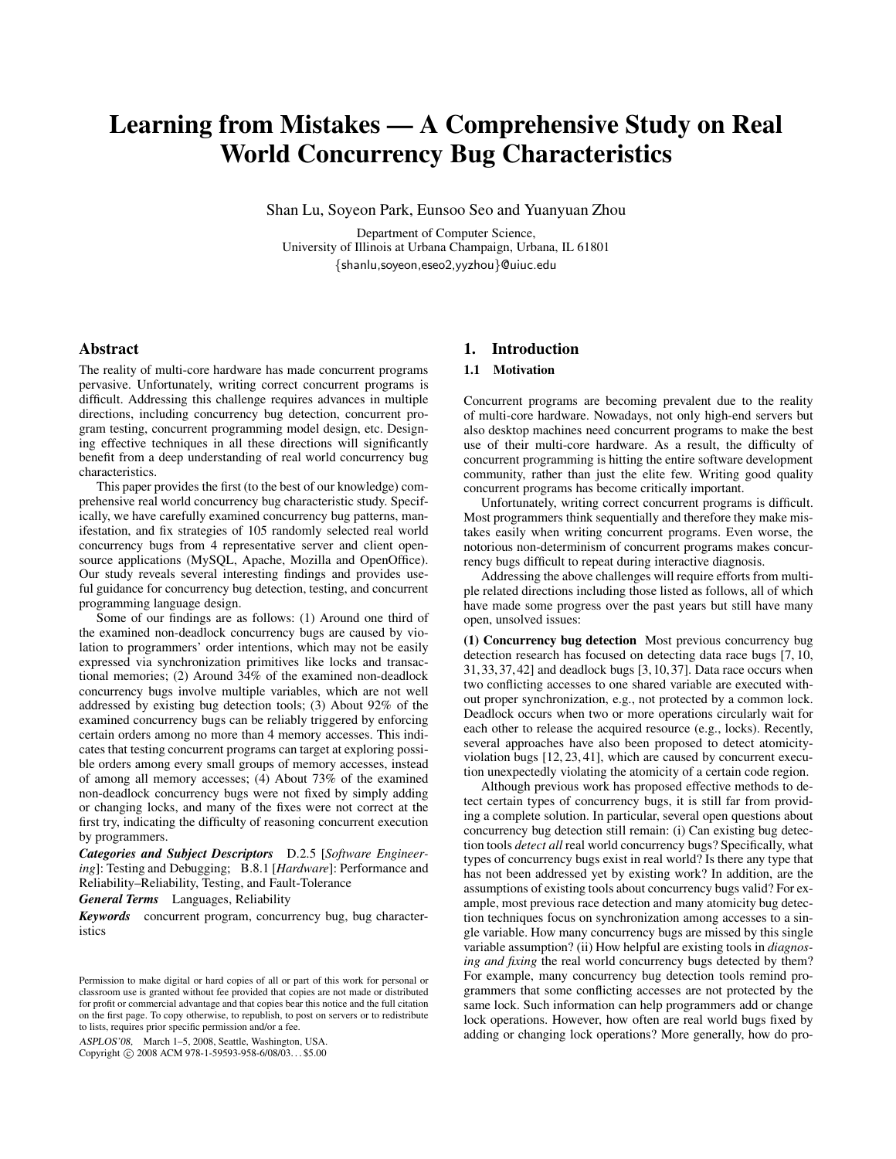# **Learning from Mistakes — A Comprehensive Study on Real World Concurrency Bug Characteristics**

Shan Lu, Soyeon Park, Eunsoo Seo and Yuanyuan Zhou

Department of Computer Science, University of Illinois at Urbana Champaign, Urbana, IL 61801 {shanlu,soyeon,eseo2,yyzhou}@uiuc.edu

# **Abstract**

The reality of multi-core hardware has made concurrent programs pervasive. Unfortunately, writing correct concurrent programs is difficult. Addressing this challenge requires advances in multiple directions, including concurrency bug detection, concurrent program testing, concurrent programming model design, etc. Designing effective techniques in all these directions will significantly benefit from a deep understanding of real world concurrency bug characteristics.

This paper provides the first (to the best of our knowledge) comprehensive real world concurrency bug characteristic study. Specifically, we have carefully examined concurrency bug patterns, manifestation, and fix strategies of 105 randomly selected real world concurrency bugs from 4 representative server and client opensource applications (MySQL, Apache, Mozilla and OpenOffice). Our study reveals several interesting findings and provides useful guidance for concurrency bug detection, testing, and concurrent programming language design.

Some of our findings are as follows: (1) Around one third of the examined non-deadlock concurrency bugs are caused by violation to programmers' order intentions, which may not be easily expressed via synchronization primitives like locks and transactional memories; (2) Around 34% of the examined non-deadlock concurrency bugs involve multiple variables, which are not well addressed by existing bug detection tools; (3) About 92% of the examined concurrency bugs can be reliably triggered by enforcing certain orders among no more than 4 memory accesses. This indicates that testing concurrent programs can target at exploring possible orders among every small groups of memory accesses, instead of among all memory accesses; (4) About 73% of the examined non-deadlock concurrency bugs were not fixed by simply adding or changing locks, and many of the fixes were not correct at the first try, indicating the difficulty of reasoning concurrent execution by programmers.

*Categories and Subject Descriptors* D.2.5 [*Software Engineering*]: Testing and Debugging; B.8.1 [*Hardware*]: Performance and Reliability–Reliability, Testing, and Fault-Tolerance

*General Terms* Languages, Reliability

*Keywords* concurrent program, concurrency bug, bug characteristics

ASPLOS'08, March 1–5, 2008, Seattle, Washington, USA. Copyright © 2008 ACM 978-1-59593-958-6/08/03... \$5.00

# **1. Introduction**

#### **1.1 Motivation**

Concurrent programs are becoming prevalent due to the reality of multi-core hardware. Nowadays, not only high-end servers but also desktop machines need concurrent programs to make the best use of their multi-core hardware. As a result, the difficulty of concurrent programming is hitting the entire software development community, rather than just the elite few. Writing good quality concurrent programs has become critically important.

Unfortunately, writing correct concurrent programs is difficult. Most programmers think sequentially and therefore they make mistakes easily when writing concurrent programs. Even worse, the notorious non-determinism of concurrent programs makes concurrency bugs difficult to repeat during interactive diagnosis.

Addressing the above challenges will require efforts from multiple related directions including those listed as follows, all of which have made some progress over the past years but still have many open, unsolved issues:

**(1) Concurrency bug detection** Most previous concurrency bug detection research has focused on detecting data race bugs [7, 10, 31,33,37,42] and deadlock bugs [3,10,37]. Data race occurs when two conflicting accesses to one shared variable are executed without proper synchronization, e.g., not protected by a common lock. Deadlock occurs when two or more operations circularly wait for each other to release the acquired resource (e.g., locks). Recently, several approaches have also been proposed to detect atomicityviolation bugs [12, 23, 41], which are caused by concurrent execution unexpectedly violating the atomicity of a certain code region.

Although previous work has proposed effective methods to detect certain types of concurrency bugs, it is still far from providing a complete solution. In particular, several open questions about concurrency bug detection still remain: (i) Can existing bug detection tools *detect all* real world concurrency bugs? Specifically, what types of concurrency bugs exist in real world? Is there any type that has not been addressed yet by existing work? In addition, are the assumptions of existing tools about concurrency bugs valid? For example, most previous race detection and many atomicity bug detection techniques focus on synchronization among accesses to a single variable. How many concurrency bugs are missed by this single variable assumption? (ii) How helpful are existing tools in *diagnosing and fixing* the real world concurrency bugs detected by them? For example, many concurrency bug detection tools remind programmers that some conflicting accesses are not protected by the same lock. Such information can help programmers add or change lock operations. However, how often are real world bugs fixed by adding or changing lock operations? More generally, how do pro-

Permission to make digital or hard copies of all or part of this work for personal or classroom use is granted without fee provided that copies are not made or distributed for profit or commercial advantage and that copies bear this notice and the full citation on the first page. To copy otherwise, to republish, to post on servers or to redistribute to lists, requires prior specific permission and/or a fee.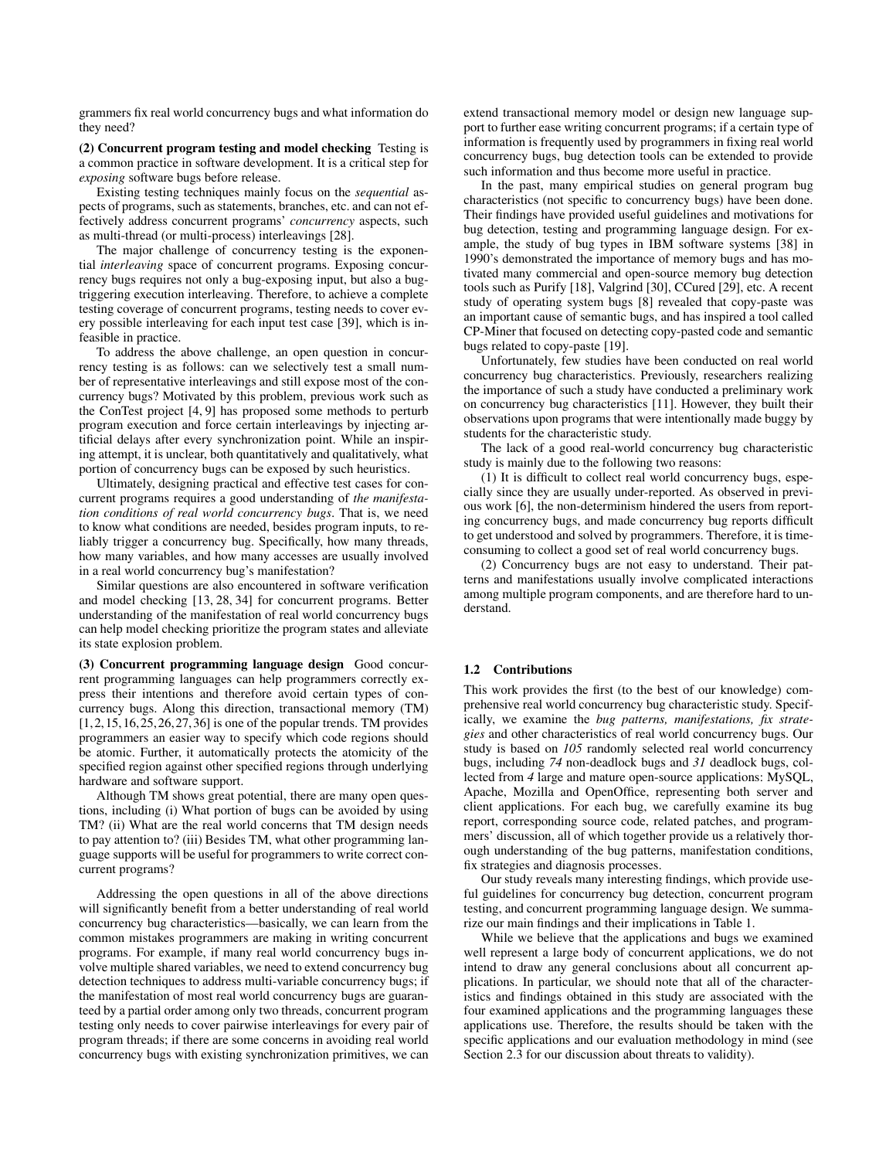grammers fix real world concurrency bugs and what information do they need?

**(2) Concurrent program testing and model checking** Testing is a common practice in software development. It is a critical step for *exposing* software bugs before release.

Existing testing techniques mainly focus on the *sequential* aspects of programs, such as statements, branches, etc. and can not effectively address concurrent programs' *concurrency* aspects, such as multi-thread (or multi-process) interleavings [28].

The major challenge of concurrency testing is the exponential *interleaving* space of concurrent programs. Exposing concurrency bugs requires not only a bug-exposing input, but also a bugtriggering execution interleaving. Therefore, to achieve a complete testing coverage of concurrent programs, testing needs to cover every possible interleaving for each input test case [39], which is infeasible in practice.

To address the above challenge, an open question in concurrency testing is as follows: can we selectively test a small number of representative interleavings and still expose most of the concurrency bugs? Motivated by this problem, previous work such as the ConTest project [4, 9] has proposed some methods to perturb program execution and force certain interleavings by injecting artificial delays after every synchronization point. While an inspiring attempt, it is unclear, both quantitatively and qualitatively, what portion of concurrency bugs can be exposed by such heuristics.

Ultimately, designing practical and effective test cases for concurrent programs requires a good understanding of *the manifestation conditions of real world concurrency bugs*. That is, we need to know what conditions are needed, besides program inputs, to reliably trigger a concurrency bug. Specifically, how many threads, how many variables, and how many accesses are usually involved in a real world concurrency bug's manifestation?

Similar questions are also encountered in software verification and model checking [13, 28, 34] for concurrent programs. Better understanding of the manifestation of real world concurrency bugs can help model checking prioritize the program states and alleviate its state explosion problem.

**(3) Concurrent programming language design** Good concurrent programming languages can help programmers correctly express their intentions and therefore avoid certain types of concurrency bugs. Along this direction, transactional memory (TM) [1,2,15,16,25,26,27,36] is one of the popular trends. TM provides programmers an easier way to specify which code regions should be atomic. Further, it automatically protects the atomicity of the specified region against other specified regions through underlying hardware and software support.

Although TM shows great potential, there are many open questions, including (i) What portion of bugs can be avoided by using TM? (ii) What are the real world concerns that TM design needs to pay attention to? (iii) Besides TM, what other programming language supports will be useful for programmers to write correct concurrent programs?

Addressing the open questions in all of the above directions will significantly benefit from a better understanding of real world concurrency bug characteristics—basically, we can learn from the common mistakes programmers are making in writing concurrent programs. For example, if many real world concurrency bugs involve multiple shared variables, we need to extend concurrency bug detection techniques to address multi-variable concurrency bugs; if the manifestation of most real world concurrency bugs are guaranteed by a partial order among only two threads, concurrent program testing only needs to cover pairwise interleavings for every pair of program threads; if there are some concerns in avoiding real world concurrency bugs with existing synchronization primitives, we can extend transactional memory model or design new language support to further ease writing concurrent programs; if a certain type of information is frequently used by programmers in fixing real world concurrency bugs, bug detection tools can be extended to provide such information and thus become more useful in practice.

In the past, many empirical studies on general program bug characteristics (not specific to concurrency bugs) have been done. Their findings have provided useful guidelines and motivations for bug detection, testing and programming language design. For example, the study of bug types in IBM software systems [38] in 1990's demonstrated the importance of memory bugs and has motivated many commercial and open-source memory bug detection tools such as Purify [18], Valgrind [30], CCured [29], etc. A recent study of operating system bugs [8] revealed that copy-paste was an important cause of semantic bugs, and has inspired a tool called CP-Miner that focused on detecting copy-pasted code and semantic bugs related to copy-paste [19].

Unfortunately, few studies have been conducted on real world concurrency bug characteristics. Previously, researchers realizing the importance of such a study have conducted a preliminary work on concurrency bug characteristics [11]. However, they built their observations upon programs that were intentionally made buggy by students for the characteristic study.

The lack of a good real-world concurrency bug characteristic study is mainly due to the following two reasons:

(1) It is difficult to collect real world concurrency bugs, especially since they are usually under-reported. As observed in previous work [6], the non-determinism hindered the users from reporting concurrency bugs, and made concurrency bug reports difficult to get understood and solved by programmers. Therefore, it is timeconsuming to collect a good set of real world concurrency bugs.

(2) Concurrency bugs are not easy to understand. Their patterns and manifestations usually involve complicated interactions among multiple program components, and are therefore hard to understand.

## **1.2 Contributions**

This work provides the first (to the best of our knowledge) comprehensive real world concurrency bug characteristic study. Specifically, we examine the *bug patterns, manifestations, fix strategies* and other characteristics of real world concurrency bugs. Our study is based on *105* randomly selected real world concurrency bugs, including *74* non-deadlock bugs and *31* deadlock bugs, collected from *4* large and mature open-source applications: MySQL, Apache, Mozilla and OpenOffice, representing both server and client applications. For each bug, we carefully examine its bug report, corresponding source code, related patches, and programmers' discussion, all of which together provide us a relatively thorough understanding of the bug patterns, manifestation conditions, fix strategies and diagnosis processes.

Our study reveals many interesting findings, which provide useful guidelines for concurrency bug detection, concurrent program testing, and concurrent programming language design. We summarize our main findings and their implications in Table 1.

While we believe that the applications and bugs we examined well represent a large body of concurrent applications, we do not intend to draw any general conclusions about all concurrent applications. In particular, we should note that all of the characteristics and findings obtained in this study are associated with the four examined applications and the programming languages these applications use. Therefore, the results should be taken with the specific applications and our evaluation methodology in mind (see Section 2.3 for our discussion about threats to validity).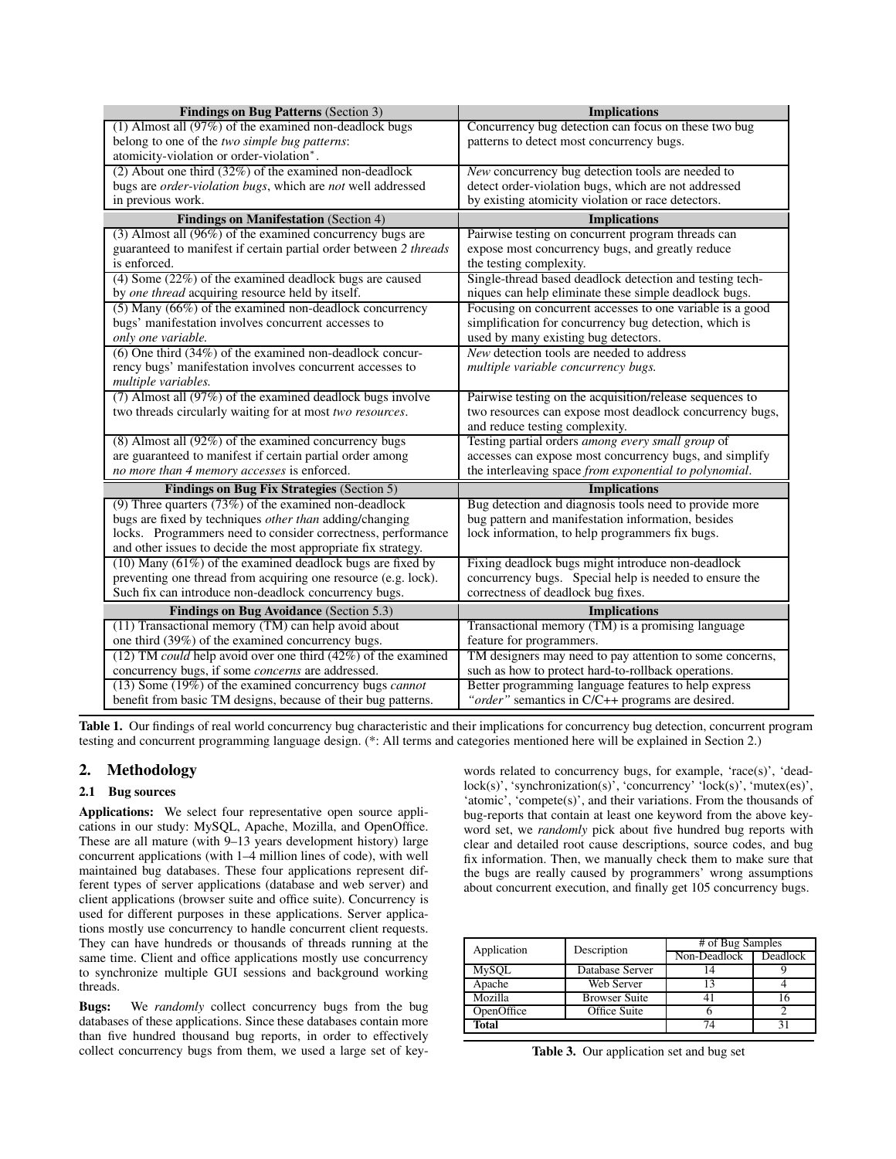| <b>Findings on Bug Patterns (Section 3)</b>                            | <b>Implications</b>                                       |
|------------------------------------------------------------------------|-----------------------------------------------------------|
| (1) Almost all $(97%)$ of the examined non-deadlock bugs               | Concurrency bug detection can focus on these two bug      |
| belong to one of the two simple bug patterns:                          | patterns to detect most concurrency bugs.                 |
| atomicity-violation or order-violation*.                               |                                                           |
| $(2)$ About one third $(32\%)$ of the examined non-deadlock            | New concurrency bug detection tools are needed to         |
| bugs are order-violation bugs, which are not well addressed            | detect order-violation bugs, which are not addressed      |
| in previous work.                                                      | by existing atomicity violation or race detectors.        |
| <b>Findings on Manifestation (Section 4)</b>                           | <b>Implications</b>                                       |
| $(3)$ Almost all $(96\%)$ of the examined concurrency bugs are         | Pairwise testing on concurrent program threads can        |
| guaranteed to manifest if certain partial order between 2 threads      | expose most concurrency bugs, and greatly reduce          |
| is enforced.                                                           | the testing complexity.                                   |
| $(4)$ Some $(22%)$ of the examined deadlock bugs are caused            | Single-thread based deadlock detection and testing tech-  |
| by one thread acquiring resource held by itself.                       | niques can help eliminate these simple deadlock bugs.     |
| $(5)$ Many $(66\%)$ of the examined non-deadlock concurrency           | Focusing on concurrent accesses to one variable is a good |
| bugs' manifestation involves concurrent accesses to                    | simplification for concurrency bug detection, which is    |
| only one variable.                                                     | used by many existing bug detectors.                      |
| $(6)$ One third $(34%)$ of the examined non-deadlock concur-           | New detection tools are needed to address                 |
| rency bugs' manifestation involves concurrent accesses to              | multiple variable concurrency bugs.                       |
| multiple variables.                                                    |                                                           |
| $(7)$ Almost all $(97%)$ of the examined deadlock bugs involve         | Pairwise testing on the acquisition/release sequences to  |
| two threads circularly waiting for at most two resources.              | two resources can expose most deadlock concurrency bugs,  |
|                                                                        | and reduce testing complexity.                            |
| $(8)$ Almost all $(92\%)$ of the examined concurrency bugs             | Testing partial orders among every small group of         |
| are guaranteed to manifest if certain partial order among              | accesses can expose most concurrency bugs, and simplify   |
| no more than 4 memory accesses is enforced.                            | the interleaving space from exponential to polynomial.    |
| Findings on Bug Fix Strategies (Section 5)                             | <b>Implications</b>                                       |
| $(9)$ Three quarters $(73%)$ of the examined non-deadlock              | Bug detection and diagnosis tools need to provide more    |
| bugs are fixed by techniques <i>other than</i> adding/changing         | bug pattern and manifestation information, besides        |
| locks. Programmers need to consider correctness, performance           | lock information, to help programmers fix bugs.           |
| and other issues to decide the most appropriate fix strategy.          |                                                           |
| $(10)$ Many $(61\%)$ of the examined deadlock bugs are fixed by        | Fixing deadlock bugs might introduce non-deadlock         |
| preventing one thread from acquiring one resource (e.g. lock).         | concurrency bugs. Special help is needed to ensure the    |
| Such fix can introduce non-deadlock concurrency bugs.                  | correctness of deadlock bug fixes.                        |
| Findings on Bug Avoidance (Section 5.3)                                | <b>Implications</b>                                       |
| (11) Transactional memory (TM) can help avoid about                    | Transactional memory (TM) is a promising language         |
| one third (39%) of the examined concurrency bugs.                      | feature for programmers.                                  |
| (12) TM <i>could</i> help avoid over one third $(42%)$ of the examined | TM designers may need to pay attention to some concerns,  |
| concurrency bugs, if some concerns are addressed.                      | such as how to protect hard-to-rollback operations.       |
| (13) Some (19%) of the examined concurrency bugs <i>cannot</i>         | Better programming language features to help express      |
| benefit from basic TM designs, because of their bug patterns.          | "order" semantics in C/C++ programs are desired.          |

**Table 1.** Our findings of real world concurrency bug characteristic and their implications for concurrency bug detection, concurrent program testing and concurrent programming language design. (\*: All terms and categories mentioned here will be explained in Section 2.)

# **2. Methodology**

# **2.1 Bug sources**

**Applications:** We select four representative open source applications in our study: MySQL, Apache, Mozilla, and OpenOffice. These are all mature (with 9–13 years development history) large concurrent applications (with 1–4 million lines of code), with well maintained bug databases. These four applications represent different types of server applications (database and web server) and client applications (browser suite and office suite). Concurrency is used for different purposes in these applications. Server applications mostly use concurrency to handle concurrent client requests. They can have hundreds or thousands of threads running at the same time. Client and office applications mostly use concurrency to synchronize multiple GUI sessions and background working threads.

**Bugs:** We *randomly* collect concurrency bugs from the bug databases of these applications. Since these databases contain more than five hundred thousand bug reports, in order to effectively collect concurrency bugs from them, we used a large set of key-

words related to concurrency bugs, for example, 'race(s)', 'deadlock(s)', 'synchronization(s)', 'concurrency' 'lock(s)', 'mutex(es)', 'atomic', 'compete(s)', and their variations. From the thousands of bug-reports that contain at least one keyword from the above keyword set, we *randomly* pick about five hundred bug reports with clear and detailed root cause descriptions, source codes, and bug fix information. Then, we manually check them to make sure that the bugs are really caused by programmers' wrong assumptions about concurrent execution, and finally get 105 concurrency bugs.

| Application  | Description          | # of Bug Samples |          |  |
|--------------|----------------------|------------------|----------|--|
|              |                      | Non-Deadlock     | Deadlock |  |
| MySQL        | Database Server      | 14               |          |  |
| Apache       | Web Server           | 12               |          |  |
| Mozilla      | <b>Browser Suite</b> |                  |          |  |
| OpenOffice   | Office Suite         |                  |          |  |
| <b>Total</b> |                      | 74               |          |  |

**Table 3.** Our application set and bug set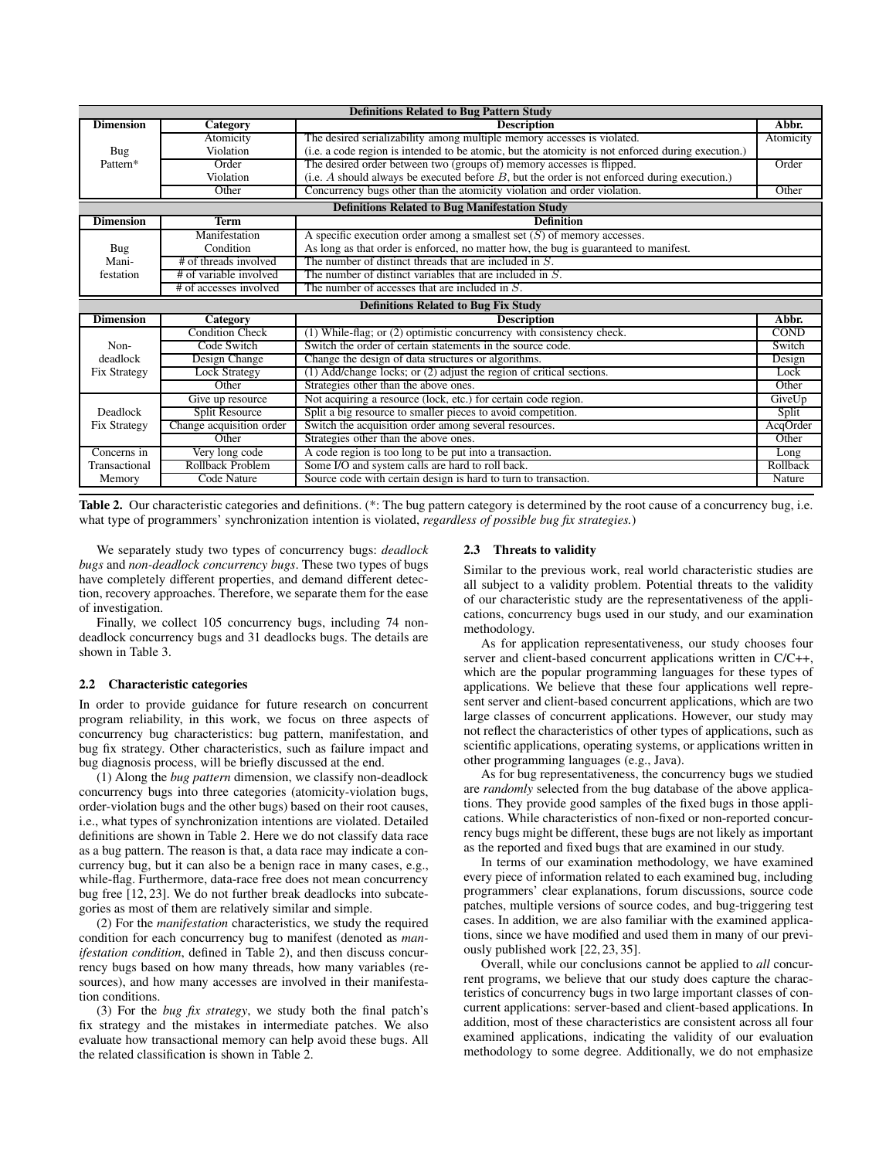|                     | <b>Definitions Related to Bug Pattern Study</b>       |                                                                                                                     |             |  |  |  |  |
|---------------------|-------------------------------------------------------|---------------------------------------------------------------------------------------------------------------------|-------------|--|--|--|--|
| <b>Dimension</b>    | Category                                              | <b>Description</b>                                                                                                  | Abbr.       |  |  |  |  |
|                     | Atomicity                                             | The desired serializability among multiple memory accesses is violated.                                             | Atomicity   |  |  |  |  |
| Bug                 | Violation                                             | (i.e. a code region is intended to be atomic, but the atomicity is not enforced during execution.)                  |             |  |  |  |  |
| Pattern*            | Order                                                 | The desired order between two (groups of) memory accesses is flipped.                                               | Order       |  |  |  |  |
|                     | Violation                                             | (i.e. $A$ should always be executed before $B$ , but the order is not enforced during execution.)                   |             |  |  |  |  |
|                     | Other                                                 | Concurrency bugs other than the atomicity violation and order violation.                                            | Other       |  |  |  |  |
|                     | <b>Definitions Related to Bug Manifestation Study</b> |                                                                                                                     |             |  |  |  |  |
| <b>Dimension</b>    | <b>Term</b>                                           | <b>Definition</b>                                                                                                   |             |  |  |  |  |
|                     | Manifestation                                         | A specific execution order among a smallest set $(S)$ of memory accesses.                                           |             |  |  |  |  |
| Bug                 | Condition                                             | As long as that order is enforced, no matter how, the bug is guaranteed to manifest.                                |             |  |  |  |  |
| Mani-               | # of threads involved                                 | The number of distinct threads that are included in $S$ .                                                           |             |  |  |  |  |
| festation           | # of variable involved                                | The number of distinct variables that are included in $S$ .                                                         |             |  |  |  |  |
|                     | # of accesses involved                                | The number of accesses that are included in $S$ .                                                                   |             |  |  |  |  |
|                     |                                                       | <b>Definitions Related to Bug Fix Study</b>                                                                         |             |  |  |  |  |
| <b>Dimension</b>    | Category                                              | <b>Description</b>                                                                                                  | Abbr.       |  |  |  |  |
|                     | <b>Condition Check</b>                                | (1) While-flag; or (2) optimistic concurrency with consistency check.                                               | <b>COND</b> |  |  |  |  |
| Non-                | Code Switch                                           | Switch the order of certain statements in the source code.                                                          | Switch      |  |  |  |  |
| deadlock            | Design Change                                         | Change the design of data structures or algorithms.                                                                 | Design      |  |  |  |  |
| Fix Strategy        | <b>Lock Strategy</b>                                  | (1) Add/change locks; or (2) adjust the region of critical sections.                                                | Lock        |  |  |  |  |
|                     | Other                                                 | Strategies other than the above ones.                                                                               | Other       |  |  |  |  |
|                     | Give up resource                                      | Not acquiring a resource (lock, etc.) for certain code region.                                                      | GiveUp      |  |  |  |  |
| Deadlock            | <b>Split Resource</b>                                 | Split a big resource to smaller pieces to avoid competition.                                                        | Split       |  |  |  |  |
| <b>Fix Strategy</b> |                                                       |                                                                                                                     | AcqOrder    |  |  |  |  |
|                     | Change acquisition order                              | Switch the acquisition order among several resources.                                                               |             |  |  |  |  |
|                     | Other                                                 | Strategies other than the above ones.                                                                               | Other       |  |  |  |  |
| Concerns in         | Very long code                                        | A code region is too long to be put into a transaction.                                                             | Long        |  |  |  |  |
| Transactional       | Rollback Problem<br>Code Nature                       | Some I/O and system calls are hard to roll back.<br>Source code with certain design is hard to turn to transaction. | Rollback    |  |  |  |  |

**Table 2.** Our characteristic categories and definitions. (\*: The bug pattern category is determined by the root cause of a concurrency bug, i.e. what type of programmers' synchronization intention is violated, *regardless of possible bug fix strategies.*)

We separately study two types of concurrency bugs: *deadlock bugs* and *non-deadlock concurrency bugs*. These two types of bugs have completely different properties, and demand different detection, recovery approaches. Therefore, we separate them for the ease of investigation.

Finally, we collect 105 concurrency bugs, including 74 nondeadlock concurrency bugs and 31 deadlocks bugs. The details are shown in Table 3.

#### **2.2 Characteristic categories**

In order to provide guidance for future research on concurrent program reliability, in this work, we focus on three aspects of concurrency bug characteristics: bug pattern, manifestation, and bug fix strategy. Other characteristics, such as failure impact and bug diagnosis process, will be briefly discussed at the end.

(1) Along the *bug pattern* dimension, we classify non-deadlock concurrency bugs into three categories (atomicity-violation bugs, order-violation bugs and the other bugs) based on their root causes, i.e., what types of synchronization intentions are violated. Detailed definitions are shown in Table 2. Here we do not classify data race as a bug pattern. The reason is that, a data race may indicate a concurrency bug, but it can also be a benign race in many cases, e.g., while-flag. Furthermore, data-race free does not mean concurrency bug free [12, 23]. We do not further break deadlocks into subcategories as most of them are relatively similar and simple.

(2) For the *manifestation* characteristics, we study the required condition for each concurrency bug to manifest (denoted as *manifestation condition*, defined in Table 2), and then discuss concurrency bugs based on how many threads, how many variables (resources), and how many accesses are involved in their manifestation conditions.

(3) For the *bug fix strategy*, we study both the final patch's fix strategy and the mistakes in intermediate patches. We also evaluate how transactional memory can help avoid these bugs. All the related classification is shown in Table 2.

#### **2.3 Threats to validity**

Similar to the previous work, real world characteristic studies are all subject to a validity problem. Potential threats to the validity of our characteristic study are the representativeness of the applications, concurrency bugs used in our study, and our examination methodology.

As for application representativeness, our study chooses four server and client-based concurrent applications written in C/C++, which are the popular programming languages for these types of applications. We believe that these four applications well represent server and client-based concurrent applications, which are two large classes of concurrent applications. However, our study may not reflect the characteristics of other types of applications, such as scientific applications, operating systems, or applications written in other programming languages (e.g., Java).

As for bug representativeness, the concurrency bugs we studied are *randomly* selected from the bug database of the above applications. They provide good samples of the fixed bugs in those applications. While characteristics of non-fixed or non-reported concurrency bugs might be different, these bugs are not likely as important as the reported and fixed bugs that are examined in our study.

In terms of our examination methodology, we have examined every piece of information related to each examined bug, including programmers' clear explanations, forum discussions, source code patches, multiple versions of source codes, and bug-triggering test cases. In addition, we are also familiar with the examined applications, since we have modified and used them in many of our previously published work [22, 23, 35].

Overall, while our conclusions cannot be applied to *all* concurrent programs, we believe that our study does capture the characteristics of concurrency bugs in two large important classes of concurrent applications: server-based and client-based applications. In addition, most of these characteristics are consistent across all four examined applications, indicating the validity of our evaluation methodology to some degree. Additionally, we do not emphasize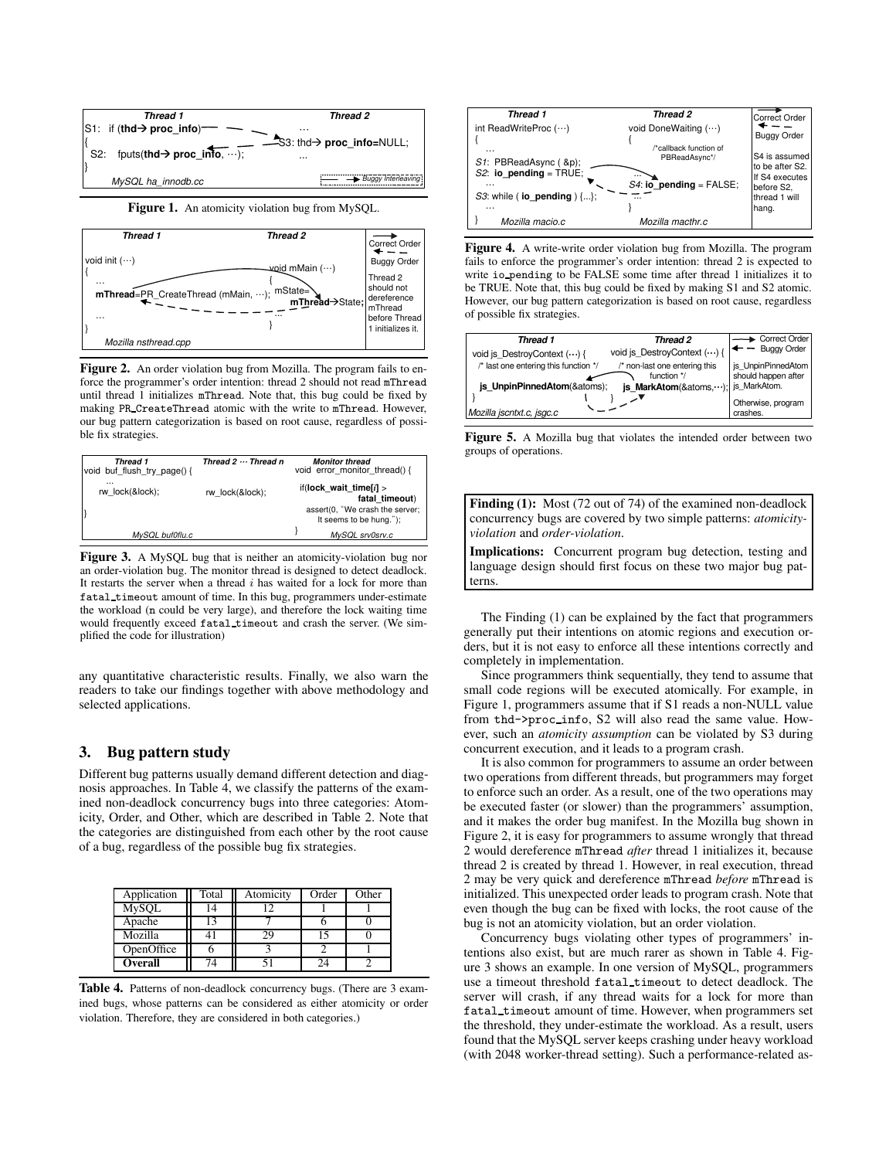

**Figure 1.** An atomicity violation bug from MySQL.



**Figure 2.** An order violation bug from Mozilla. The program fails to enforce the programmer's order intention: thread 2 should not read mThread until thread 1 initializes mThread. Note that, this bug could be fixed by making PR CreateThread atomic with the write to mThread. However, our bug pattern categorization is based on root cause, regardless of possible fix strategies.

| Thread 1<br>void buf flush try page() { | Thread $2 \cdots$ Thread n | <b>Monitor thread</b><br>void error monitor thread() {     |
|-----------------------------------------|----------------------------|------------------------------------------------------------|
| $\cdots$<br>rw lock(&lock);             | rw lock(&lock);            | if(lock wait time[ $i$ ] ><br>fatal timeout)               |
|                                         |                            | assert(0, "We crash the server;<br>It seems to be hung."); |
| MvSQL buf0flu.c                         |                            | MvSQL srv0srv.c                                            |

**Figure 3.** A MySQL bug that is neither an atomicity-violation bug nor an order-violation bug. The monitor thread is designed to detect deadlock. It restarts the server when a thread  $i$  has waited for a lock for more than fatal timeout amount of time. In this bug, programmers under-estimate the workload (n could be very large), and therefore the lock waiting time would frequently exceed fatal\_timeout and crash the server. (We simplified the code for illustration)

any quantitative characteristic results. Finally, we also warn the readers to take our findings together with above methodology and selected applications.

## **3. Bug pattern study**

Different bug patterns usually demand different detection and diagnosis approaches. In Table 4, we classify the patterns of the examined non-deadlock concurrency bugs into three categories: Atomicity, Order, and Other, which are described in Table 2. Note that the categories are distinguished from each other by the root cause of a bug, regardless of the possible bug fix strategies.

| Application    | Total | Atomicity | Order | Other |
|----------------|-------|-----------|-------|-------|
| <b>MySQL</b>   | 14    |           |       |       |
| Apache         | 13    |           |       |       |
| Mozilla        | 41    | 29        | 15    |       |
| OpenOffice     |       |           |       |       |
| <b>Overall</b> |       |           | 24    |       |

**Table 4.** Patterns of non-deadlock concurrency bugs. (There are 3 examined bugs, whose patterns can be considered as either atomicity or order violation. Therefore, they are considered in both categories.)



**Figure 4.** A write-write order violation bug from Mozilla. The program fails to enforce the programmer's order intention: thread 2 is expected to write io pending to be FALSE some time after thread 1 initializes it to be TRUE. Note that, this bug could be fixed by making S1 and S2 atomic. However, our bug pattern categorization is based on root cause, regardless of possible fix strategies.



**Figure 5.** A Mozilla bug that violates the intended order between two groups of operations.

**Finding** (1): Most (72 out of 74) of the examined non-deadlock concurrency bugs are covered by two simple patterns: *atomicityviolation* and *order-violation*.

**Implications:** Concurrent program bug detection, testing and language design should first focus on these two major bug patterns.

The Finding (1) can be explained by the fact that programmers generally put their intentions on atomic regions and execution orders, but it is not easy to enforce all these intentions correctly and completely in implementation.

Since programmers think sequentially, they tend to assume that small code regions will be executed atomically. For example, in Figure 1, programmers assume that if S1 reads a non-NULL value from thd->proc info, S2 will also read the same value. However, such an *atomicity assumption* can be violated by S3 during concurrent execution, and it leads to a program crash.

It is also common for programmers to assume an order between two operations from different threads, but programmers may forget to enforce such an order. As a result, one of the two operations may be executed faster (or slower) than the programmers' assumption, and it makes the order bug manifest. In the Mozilla bug shown in Figure 2, it is easy for programmers to assume wrongly that thread 2 would dereference mThread *after* thread 1 initializes it, because thread 2 is created by thread 1. However, in real execution, thread 2 may be very quick and dereference mThread *before* mThread is initialized. This unexpected order leads to program crash. Note that even though the bug can be fixed with locks, the root cause of the bug is not an atomicity violation, but an order violation.

Concurrency bugs violating other types of programmers' intentions also exist, but are much rarer as shown in Table 4. Figure 3 shows an example. In one version of MySQL, programmers use a timeout threshold fatal timeout to detect deadlock. The server will crash, if any thread waits for a lock for more than fatal timeout amount of time. However, when programmers set the threshold, they under-estimate the workload. As a result, users found that the MySQL server keeps crashing under heavy workload (with 2048 worker-thread setting). Such a performance-related as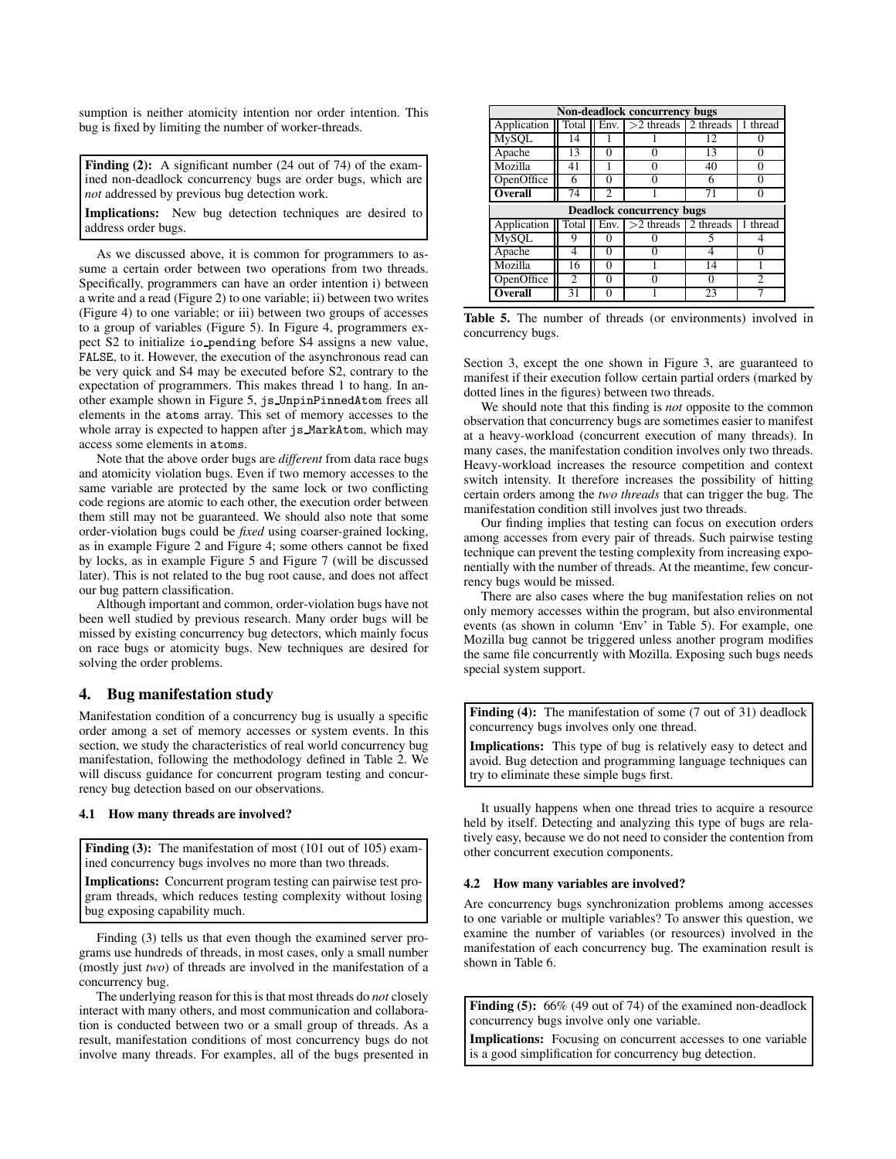sumption is neither atomicity intention nor order intention. This bug is fixed by limiting the number of worker-threads.

**Finding (2):** A significant number (24 out of 74) of the examined non-deadlock concurrency bugs are order bugs, which are *not* addressed by previous bug detection work.

**Implications:** New bug detection techniques are desired to address order bugs.

As we discussed above, it is common for programmers to assume a certain order between two operations from two threads. Specifically, programmers can have an order intention i) between a write and a read (Figure 2) to one variable; ii) between two writes (Figure 4) to one variable; or iii) between two groups of accesses to a group of variables (Figure 5). In Figure 4, programmers expect S2 to initialize io pending before S4 assigns a new value, FALSE, to it. However, the execution of the asynchronous read can be very quick and S4 may be executed before S2, contrary to the expectation of programmers. This makes thread 1 to hang. In another example shown in Figure 5, js UnpinPinnedAtom frees all elements in the atoms array. This set of memory accesses to the whole array is expected to happen after js\_MarkAtom, which may access some elements in atoms.

Note that the above order bugs are *different* from data race bugs and atomicity violation bugs. Even if two memory accesses to the same variable are protected by the same lock or two conflicting code regions are atomic to each other, the execution order between them still may not be guaranteed. We should also note that some order-violation bugs could be *fixed* using coarser-grained locking, as in example Figure 2 and Figure 4; some others cannot be fixed by locks, as in example Figure 5 and Figure 7 (will be discussed later). This is not related to the bug root cause, and does not affect our bug pattern classification.

Although important and common, order-violation bugs have not been well studied by previous research. Many order bugs will be missed by existing concurrency bug detectors, which mainly focus on race bugs or atomicity bugs. New techniques are desired for solving the order problems.

## **4. Bug manifestation study**

Manifestation condition of a concurrency bug is usually a specific order among a set of memory accesses or system events. In this section, we study the characteristics of real world concurrency bug manifestation, following the methodology defined in Table 2. We will discuss guidance for concurrent program testing and concurrency bug detection based on our observations.

#### **4.1 How many threads are involved?**

**Finding** (3): The manifestation of most (101 out of 105) examined concurrency bugs involves no more than two threads.

**Implications:** Concurrent program testing can pairwise test program threads, which reduces testing complexity without losing bug exposing capability much.

Finding (3) tells us that even though the examined server programs use hundreds of threads, in most cases, only a small number (mostly just *two*) of threads are involved in the manifestation of a concurrency bug.

The underlying reason for this is that most threads do *not* closely interact with many others, and most communication and collaboration is conducted between two or a small group of threads. As a result, manifestation conditions of most concurrency bugs do not involve many threads. For examples, all of the bugs presented in

| Non-deadlock concurrency bugs    |                |   |                                    |    |                       |  |
|----------------------------------|----------------|---|------------------------------------|----|-----------------------|--|
| Application                      | Total          |   | Env. $\vert > 2$ threads 2 threads |    | 1 thread              |  |
| <b>MySQL</b>                     | 14             |   |                                    | 12 | 0                     |  |
| Apache                           | 13             | 0 |                                    | 13 | 0                     |  |
| Mozilla                          | 41             |   |                                    | 40 | 0                     |  |
| OpenOffice                       | 6              | 0 | 0                                  | 6  | 0                     |  |
| Overall                          | 74             | 2 |                                    |    | $\mathbf{\Omega}$     |  |
| <b>Deadlock concurrency bugs</b> |                |   |                                    |    |                       |  |
|                                  |                |   |                                    |    |                       |  |
| Application                      | Total          |   | $Env.$ >2 threads 2 threads        |    | $\overline{1}$ thread |  |
| <b>MySQL</b>                     | g              | 0 |                                    |    |                       |  |
| Apache                           | 4              | 0 |                                    |    | 0                     |  |
| Mozilla                          | 16             | 0 |                                    | 14 |                       |  |
| OpenOffice                       | $\mathfrak{D}$ | 0 |                                    | 0  | 2                     |  |

**Table 5.** The number of threads (or environments) involved in concurrency bugs.

Section 3, except the one shown in Figure 3, are guaranteed to manifest if their execution follow certain partial orders (marked by dotted lines in the figures) between two threads.

We should note that this finding is *not* opposite to the common observation that concurrency bugs are sometimes easier to manifest at a heavy-workload (concurrent execution of many threads). In many cases, the manifestation condition involves only two threads. Heavy-workload increases the resource competition and context switch intensity. It therefore increases the possibility of hitting certain orders among the *two threads* that can trigger the bug. The manifestation condition still involves just two threads.

Our finding implies that testing can focus on execution orders among accesses from every pair of threads. Such pairwise testing technique can prevent the testing complexity from increasing exponentially with the number of threads. At the meantime, few concurrency bugs would be missed.

There are also cases where the bug manifestation relies on not only memory accesses within the program, but also environmental events (as shown in column 'Env' in Table 5). For example, one Mozilla bug cannot be triggered unless another program modifies the same file concurrently with Mozilla. Exposing such bugs needs special system support.

**Finding (4):** The manifestation of some (7 out of 31) deadlock concurrency bugs involves only one thread.

**Implications:** This type of bug is relatively easy to detect and avoid. Bug detection and programming language techniques can try to eliminate these simple bugs first.

It usually happens when one thread tries to acquire a resource held by itself. Detecting and analyzing this type of bugs are relatively easy, because we do not need to consider the contention from other concurrent execution components.

#### **4.2 How many variables are involved?**

Are concurrency bugs synchronization problems among accesses to one variable or multiple variables? To answer this question, we examine the number of variables (or resources) involved in the manifestation of each concurrency bug. The examination result is shown in Table 6.

**Finding (5):** 66% (49 out of 74) of the examined non-deadlock concurrency bugs involve only one variable.

**Implications:** Focusing on concurrent accesses to one variable is a good simplification for concurrency bug detection.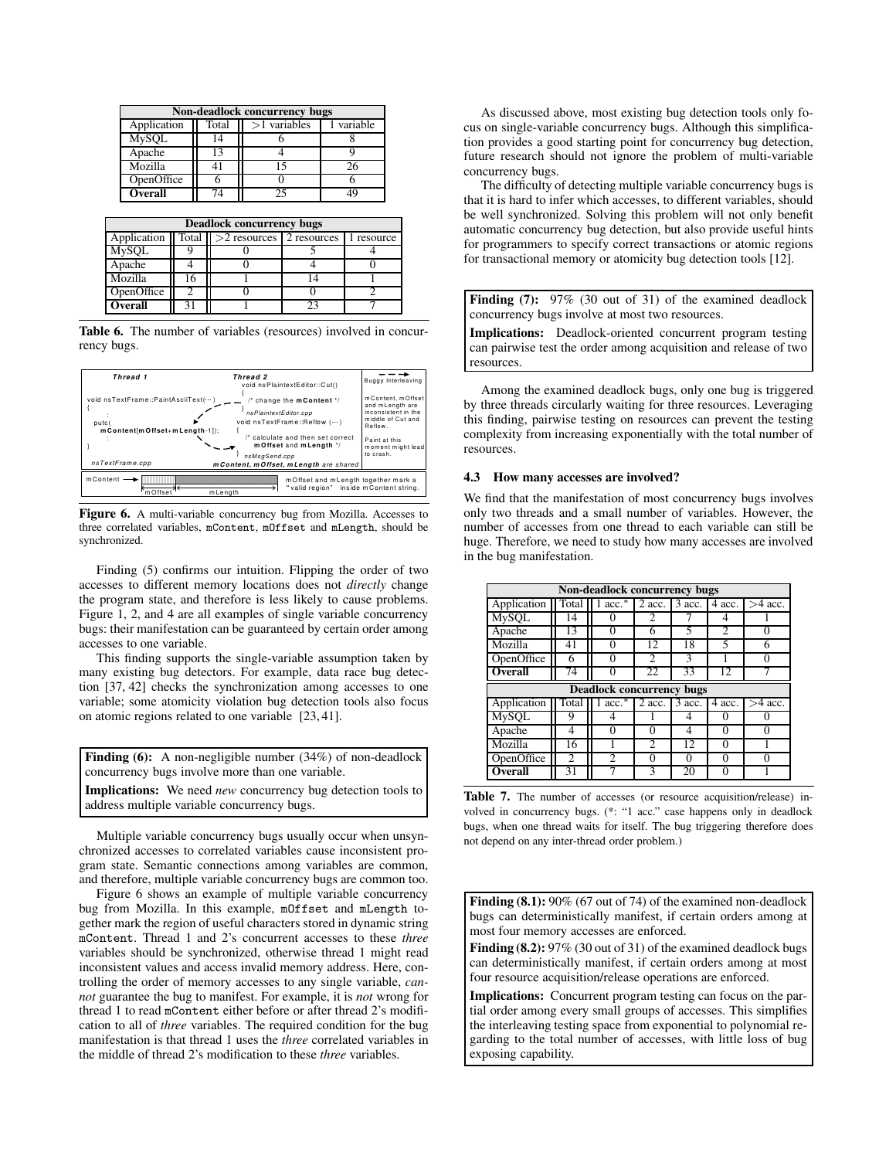| Non-deadlock concurrency bugs |       |                |            |  |  |  |
|-------------------------------|-------|----------------|------------|--|--|--|
| Application                   | Total | $>1$ variables | 1 variable |  |  |  |
| <b>MySQL</b>                  | 14    |                |            |  |  |  |
| Apache                        | 13    |                |            |  |  |  |
| Mozilla                       |       |                | 26         |  |  |  |
| OpenOffice                    |       |                |            |  |  |  |
| OveraII                       | 7Δ    |                |            |  |  |  |

| <b>Deadlock concurrency bugs</b> |    |                                      |    |            |  |  |  |
|----------------------------------|----|--------------------------------------|----|------------|--|--|--|
| Application                      |    | $Total \sim 2$ resources 2 resources |    | 1 resource |  |  |  |
| MySOL                            |    |                                      |    |            |  |  |  |
| Apache                           |    |                                      |    |            |  |  |  |
| Mozilla                          |    |                                      |    |            |  |  |  |
| OpenOffice                       |    |                                      |    |            |  |  |  |
| Overall                          | 31 |                                      | 23 |            |  |  |  |

**Table 6.** The number of variables (resources) involved in concurrency bugs.



**Figure 6.** A multi-variable concurrency bug from Mozilla. Accesses to three correlated variables, mContent, mOffset and mLength, should be synchronized.

Finding (5) confirms our intuition. Flipping the order of two accesses to different memory locations does not *directly* change the program state, and therefore is less likely to cause problems. Figure 1, 2, and 4 are all examples of single variable concurrency bugs: their manifestation can be guaranteed by certain order among accesses to one variable.

This finding supports the single-variable assumption taken by many existing bug detectors. For example, data race bug detection [37, 42] checks the synchronization among accesses to one variable; some atomicity violation bug detection tools also focus on atomic regions related to one variable [23, 41].

**Finding** (6): A non-negligible number (34%) of non-deadlock concurrency bugs involve more than one variable.

**Implications:** We need *new* concurrency bug detection tools to address multiple variable concurrency bugs.

Multiple variable concurrency bugs usually occur when unsynchronized accesses to correlated variables cause inconsistent program state. Semantic connections among variables are common, and therefore, multiple variable concurrency bugs are common too.

Figure 6 shows an example of multiple variable concurrency bug from Mozilla. In this example, mOffset and mLength together mark the region of useful characters stored in dynamic string mContent. Thread 1 and 2's concurrent accesses to these *three* variables should be synchronized, otherwise thread 1 might read inconsistent values and access invalid memory address. Here, controlling the order of memory accesses to any single variable, *cannot* guarantee the bug to manifest. For example, it is *not* wrong for thread 1 to read mContent either before or after thread 2's modification to all of *three* variables. The required condition for the bug manifestation is that thread 1 uses the *three* correlated variables in the middle of thread 2's modification to these *three* variables.

As discussed above, most existing bug detection tools only focus on single-variable concurrency bugs. Although this simplification provides a good starting point for concurrency bug detection, future research should not ignore the problem of multi-variable concurrency bugs.

The difficulty of detecting multiple variable concurrency bugs is that it is hard to infer which accesses, to different variables, should be well synchronized. Solving this problem will not only benefit automatic concurrency bug detection, but also provide useful hints for programmers to specify correct transactions or atomic regions for transactional memory or atomicity bug detection tools [12].

**Finding (7):** 97% (30 out of 31) of the examined deadlock concurrency bugs involve at most two resources.

**Implications:** Deadlock-oriented concurrent program testing can pairwise test the order among acquisition and release of two resources.

Among the examined deadlock bugs, only one bug is triggered by three threads circularly waiting for three resources. Leveraging this finding, pairwise testing on resources can prevent the testing complexity from increasing exponentially with the total number of resources.

## **4.3 How many accesses are involved?**

We find that the manifestation of most concurrency bugs involves only two threads and a small number of variables. However, the number of accesses from one thread to each variable can still be huge. Therefore, we need to study how many accesses are involved in the bug manifestation.

| Non-deadlock concurrency bugs    |         |                   |                             |                         |                   |                  |  |
|----------------------------------|---------|-------------------|-----------------------------|-------------------------|-------------------|------------------|--|
| Application                      |         | Total 1 acc.*     |                             | $2 \text{ acc.}$ 3 acc. |                   | 4 acc. $>4$ acc. |  |
| <b>MySQL</b>                     | 14      |                   |                             |                         |                   |                  |  |
| Apache                           | 13      | $\mathbf{\Omega}$ | 6                           | 5                       | $\mathfrak{D}$    |                  |  |
| Mozilla                          | 41      |                   | 12                          | 18                      | 5                 | 6                |  |
| OpenOffice                       | 6       | $\mathbf{\Omega}$ | $\mathcal{D}_{\mathcal{L}}$ | 3                       |                   |                  |  |
| Overall                          | 74      | $\mathbf{\Omega}$ | 22                          | 33                      | 12                |                  |  |
| <b>Deadlock concurrency bugs</b> |         |                   |                             |                         |                   |                  |  |
|                                  |         |                   |                             |                         |                   |                  |  |
| Application                      | Total I | 1 acc. $*$        | $2$ acc. $3$ acc.           |                         | 4 acc.            | $>4$ acc.        |  |
| <b>MySQL</b>                     | 9       |                   |                             | 4                       |                   |                  |  |
| Apache                           | 4       |                   | $\theta$                    | 4                       |                   |                  |  |
| Mozilla                          | 16      |                   | $\mathcal{D}_{\mathcal{L}}$ | 12                      | ∩                 |                  |  |
| OpenOffice                       | 2       | 2                 | 0                           | 0                       | $\mathbf{\Omega}$ |                  |  |

**Table 7.** The number of accesses (or resource acquisition/release) involved in concurrency bugs. (\*: "1 acc." case happens only in deadlock bugs, when one thread waits for itself. The bug triggering therefore does not depend on any inter-thread order problem.)

**Finding (8.1):** 90% (67 out of 74) of the examined non-deadlock bugs can deterministically manifest, if certain orders among at most four memory accesses are enforced.

**Finding (8.2):** 97% (30 out of 31) of the examined deadlock bugs can deterministically manifest, if certain orders among at most four resource acquisition/release operations are enforced.

**Implications:** Concurrent program testing can focus on the partial order among every small groups of accesses. This simplifies the interleaving testing space from exponential to polynomial regarding to the total number of accesses, with little loss of bug exposing capability.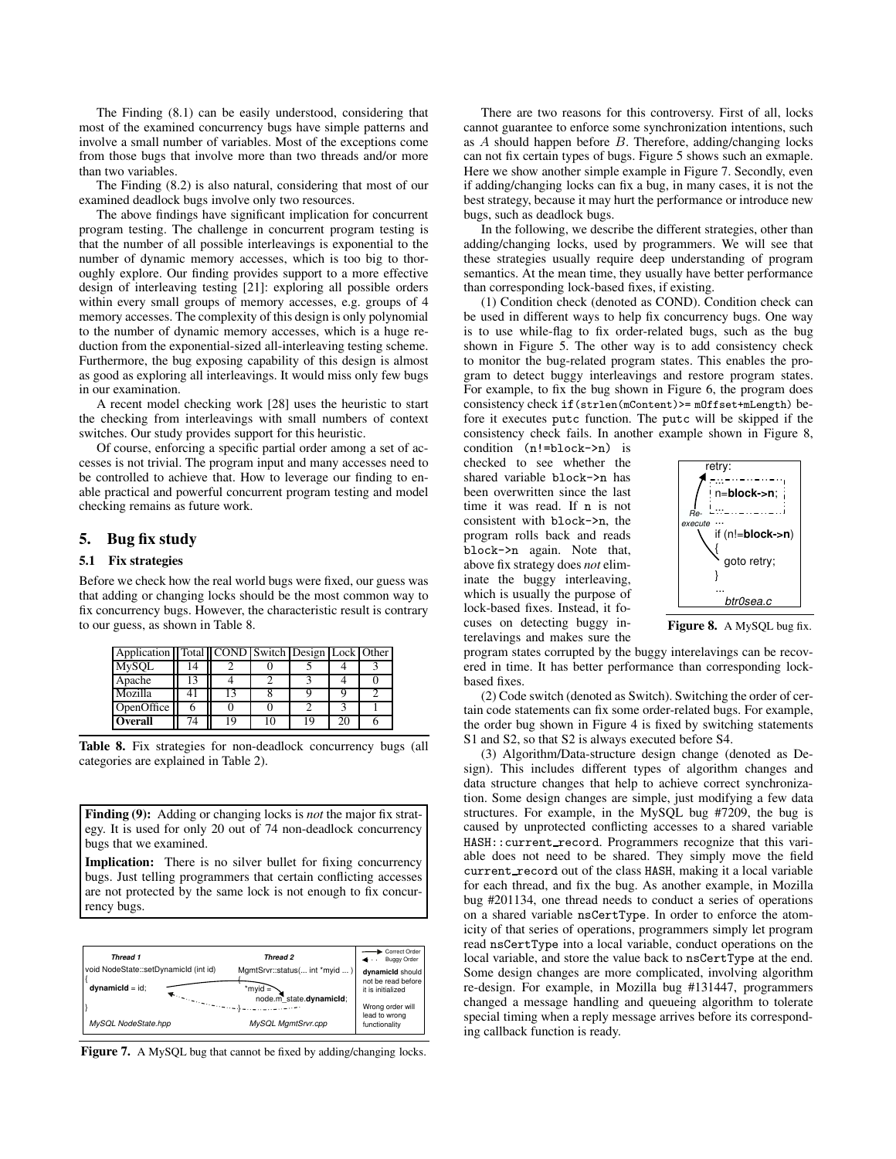The Finding (8.1) can be easily understood, considering that most of the examined concurrency bugs have simple patterns and involve a small number of variables. Most of the exceptions come from those bugs that involve more than two threads and/or more than two variables.

The Finding (8.2) is also natural, considering that most of our examined deadlock bugs involve only two resources.

The above findings have significant implication for concurrent program testing. The challenge in concurrent program testing is that the number of all possible interleavings is exponential to the number of dynamic memory accesses, which is too big to thoroughly explore. Our finding provides support to a more effective design of interleaving testing [21]: exploring all possible orders within every small groups of memory accesses, e.g. groups of 4 memory accesses. The complexity of this design is only polynomial to the number of dynamic memory accesses, which is a huge reduction from the exponential-sized all-interleaving testing scheme. Furthermore, the bug exposing capability of this design is almost as good as exploring all interleavings. It would miss only few bugs in our examination.

A recent model checking work [28] uses the heuristic to start the checking from interleavings with small numbers of context switches. Our study provides support for this heuristic.

Of course, enforcing a specific partial order among a set of accesses is not trivial. The program input and many accesses need to be controlled to achieve that. How to leverage our finding to enable practical and powerful concurrent program testing and model checking remains as future work.

## **5. Bug fix study**

## **5.1 Fix strategies**

Before we check how the real world bugs were fixed, our guess was that adding or changing locks should be the most common way to fix concurrency bugs. However, the characteristic result is contrary to our guess, as shown in Table 8.

| Application    Total    COND   Switch   Design   Lock   Other |    |    |    |    |  |
|---------------------------------------------------------------|----|----|----|----|--|
| <b>MySQL</b>                                                  |    |    |    |    |  |
| Apache                                                        |    |    |    |    |  |
| Mozilla                                                       |    |    |    |    |  |
| OpenOffice                                                    |    |    |    |    |  |
| <b>Overall</b>                                                | 19 | 10 | 19 | 20 |  |

**Table 8.** Fix strategies for non-deadlock concurrency bugs (all categories are explained in Table 2).

**Finding (9):** Adding or changing locks is *not* the major fix strategy. It is used for only 20 out of 74 non-deadlock concurrency bugs that we examined.

**Implication:** There is no silver bullet for fixing concurrency bugs. Just telling programmers that certain conflicting accesses are not protected by the same lock is not enough to fix concurrency bugs.



**Figure 7.** A MySQL bug that cannot be fixed by adding/changing locks.

There are two reasons for this controversy. First of all, locks cannot guarantee to enforce some synchronization intentions, such as  $A$  should happen before  $B$ . Therefore, adding/changing locks can not fix certain types of bugs. Figure 5 shows such an exmaple. Here we show another simple example in Figure 7. Secondly, even if adding/changing locks can fix a bug, in many cases, it is not the best strategy, because it may hurt the performance or introduce new bugs, such as deadlock bugs.

In the following, we describe the different strategies, other than adding/changing locks, used by programmers. We will see that these strategies usually require deep understanding of program semantics. At the mean time, they usually have better performance than corresponding lock-based fixes, if existing.

(1) Condition check (denoted as COND). Condition check can be used in different ways to help fix concurrency bugs. One way is to use while-flag to fix order-related bugs, such as the bug shown in Figure 5. The other way is to add consistency check to monitor the bug-related program states. This enables the program to detect buggy interleavings and restore program states. For example, to fix the bug shown in Figure 6, the program does consistency check if(strlen(mContent)>= mOffset+mLength) before it executes putc function. The putc will be skipped if the consistency check fails. In another example shown in Figure 8,

condition (n!=block->n) is checked to see whether the shared variable block->n has been overwritten since the last time it was read. If n is not consistent with block->n, the program rolls back and reads block->n again. Note that, above fix strategy does *not* eliminate the buggy interleaving, which is usually the purpose of lock-based fixes. Instead, it focuses on detecting buggy interelavings and makes sure the



**Figure 8.** A MySQL bug fix.

program states corrupted by the buggy interelavings can be recovered in time. It has better performance than corresponding lockbased fixes.

(2) Code switch (denoted as Switch). Switching the order of certain code statements can fix some order-related bugs. For example, the order bug shown in Figure 4 is fixed by switching statements S1 and S2, so that S2 is always executed before S4.

(3) Algorithm/Data-structure design change (denoted as Design). This includes different types of algorithm changes and data structure changes that help to achieve correct synchronization. Some design changes are simple, just modifying a few data structures. For example, in the MySQL bug #7209, the bug is caused by unprotected conflicting accesses to a shared variable HASH::current record. Programmers recognize that this variable does not need to be shared. They simply move the field current record out of the class HASH, making it a local variable for each thread, and fix the bug. As another example, in Mozilla bug #201134, one thread needs to conduct a series of operations on a shared variable nsCertType. In order to enforce the atomicity of that series of operations, programmers simply let program read nsCertType into a local variable, conduct operations on the local variable, and store the value back to nsCertType at the end. Some design changes are more complicated, involving algorithm re-design. For example, in Mozilla bug #131447, programmers changed a message handling and queueing algorithm to tolerate special timing when a reply message arrives before its corresponding callback function is ready.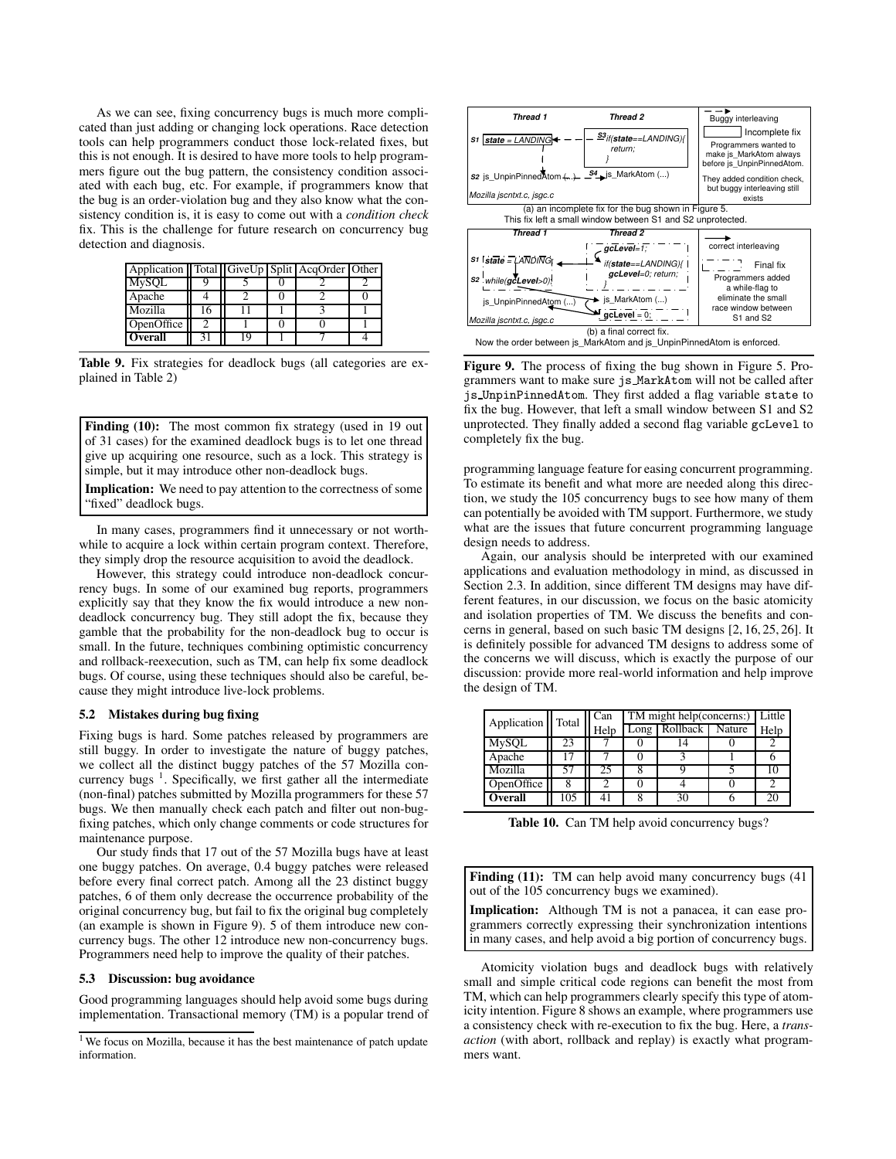As we can see, fixing concurrency bugs is much more complicated than just adding or changing lock operations. Race detection tools can help programmers conduct those lock-related fixes, but this is not enough. It is desired to have more tools to help programmers figure out the bug pattern, the consistency condition associated with each bug, etc. For example, if programmers know that the bug is an order-violation bug and they also know what the consistency condition is, it is easy to come out with a *condition check* fix. This is the challenge for future research on concurrency bug detection and diagnosis.

| Application    Total    GiveUp   Split   AcqOrder   Other |    |     |  |  |
|-----------------------------------------------------------|----|-----|--|--|
| <b>MySQL</b>                                              |    |     |  |  |
| Apache                                                    |    |     |  |  |
| Mozilla                                                   | 16 |     |  |  |
| OpenOffice                                                |    |     |  |  |
| <b>Overall</b>                                            | 31 | 1 Q |  |  |

**Table 9.** Fix strategies for deadlock bugs (all categories are explained in Table 2)

**Finding (10):** The most common fix strategy (used in 19 out of 31 cases) for the examined deadlock bugs is to let one thread give up acquiring one resource, such as a lock. This strategy is simple, but it may introduce other non-deadlock bugs.

**Implication:** We need to pay attention to the correctness of some "fixed" deadlock bugs.

In many cases, programmers find it unnecessary or not worthwhile to acquire a lock within certain program context. Therefore, they simply drop the resource acquisition to avoid the deadlock.

However, this strategy could introduce non-deadlock concurrency bugs. In some of our examined bug reports, programmers explicitly say that they know the fix would introduce a new nondeadlock concurrency bug. They still adopt the fix, because they gamble that the probability for the non-deadlock bug to occur is small. In the future, techniques combining optimistic concurrency and rollback-reexecution, such as TM, can help fix some deadlock bugs. Of course, using these techniques should also be careful, because they might introduce live-lock problems.

## **5.2 Mistakes during bug fixing**

Fixing bugs is hard. Some patches released by programmers are still buggy. In order to investigate the nature of buggy patches, we collect all the distinct buggy patches of the 57 Mozilla concurrency bugs<sup>1</sup>. Specifically, we first gather all the intermediate (non-final) patches submitted by Mozilla programmers for these 57 bugs. We then manually check each patch and filter out non-bugfixing patches, which only change comments or code structures for maintenance purpose.

Our study finds that 17 out of the 57 Mozilla bugs have at least one buggy patches. On average, 0.4 buggy patches were released before every final correct patch. Among all the 23 distinct buggy patches, 6 of them only decrease the occurrence probability of the original concurrency bug, but fail to fix the original bug completely (an example is shown in Figure 9). 5 of them introduce new concurrency bugs. The other 12 introduce new non-concurrency bugs. Programmers need help to improve the quality of their patches.

#### **5.3 Discussion: bug avoidance**

Good programming languages should help avoid some bugs during implementation. Transactional memory (TM) is a popular trend of



**Figure 9.** The process of fixing the bug shown in Figure 5. Programmers want to make sure js MarkAtom will not be called after js UnpinPinnedAtom. They first added a flag variable state to fix the bug. However, that left a small window between S1 and S2 unprotected. They finally added a second flag variable gcLevel to completely fix the bug.

programming language feature for easing concurrent programming. To estimate its benefit and what more are needed along this direction, we study the 105 concurrency bugs to see how many of them can potentially be avoided with TM support. Furthermore, we study what are the issues that future concurrent programming language design needs to address.

Again, our analysis should be interpreted with our examined applications and evaluation methodology in mind, as discussed in Section 2.3. In addition, since different TM designs may have different features, in our discussion, we focus on the basic atomicity and isolation properties of TM. We discuss the benefits and concerns in general, based on such basic TM designs [2, 16, 25, 26]. It is definitely possible for advanced TM designs to address some of the concerns we will discuss, which is exactly the purpose of our discussion: provide more real-world information and help improve the design of TM.

| Application   Total |     | Can  | TM might help(concerns:)   Little |                   |  |      |
|---------------------|-----|------|-----------------------------------|-------------------|--|------|
|                     |     | Help | Long                              | Rollback   Nature |  | Help |
| MySQL               | 23  |      |                                   |                   |  |      |
| Apache              |     |      |                                   |                   |  |      |
| Mozilla             | 57  | 25   |                                   |                   |  | 10   |
| OpenOffice          |     |      |                                   |                   |  |      |
| <b>Overall</b>      | 105 | 41   |                                   | 30                |  | 20   |

**Table 10.** Can TM help avoid concurrency bugs?

**Finding (11):** TM can help avoid many concurrency bugs (41) out of the 105 concurrency bugs we examined).

**Implication:** Although TM is not a panacea, it can ease programmers correctly expressing their synchronization intentions in many cases, and help avoid a big portion of concurrency bugs.

Atomicity violation bugs and deadlock bugs with relatively small and simple critical code regions can benefit the most from TM, which can help programmers clearly specify this type of atomicity intention. Figure 8 shows an example, where programmers use a consistency check with re-execution to fix the bug. Here, a *transaction* (with abort, rollback and replay) is exactly what programmers want.

<sup>&</sup>lt;sup>1</sup> We focus on Mozilla, because it has the best maintenance of patch update information.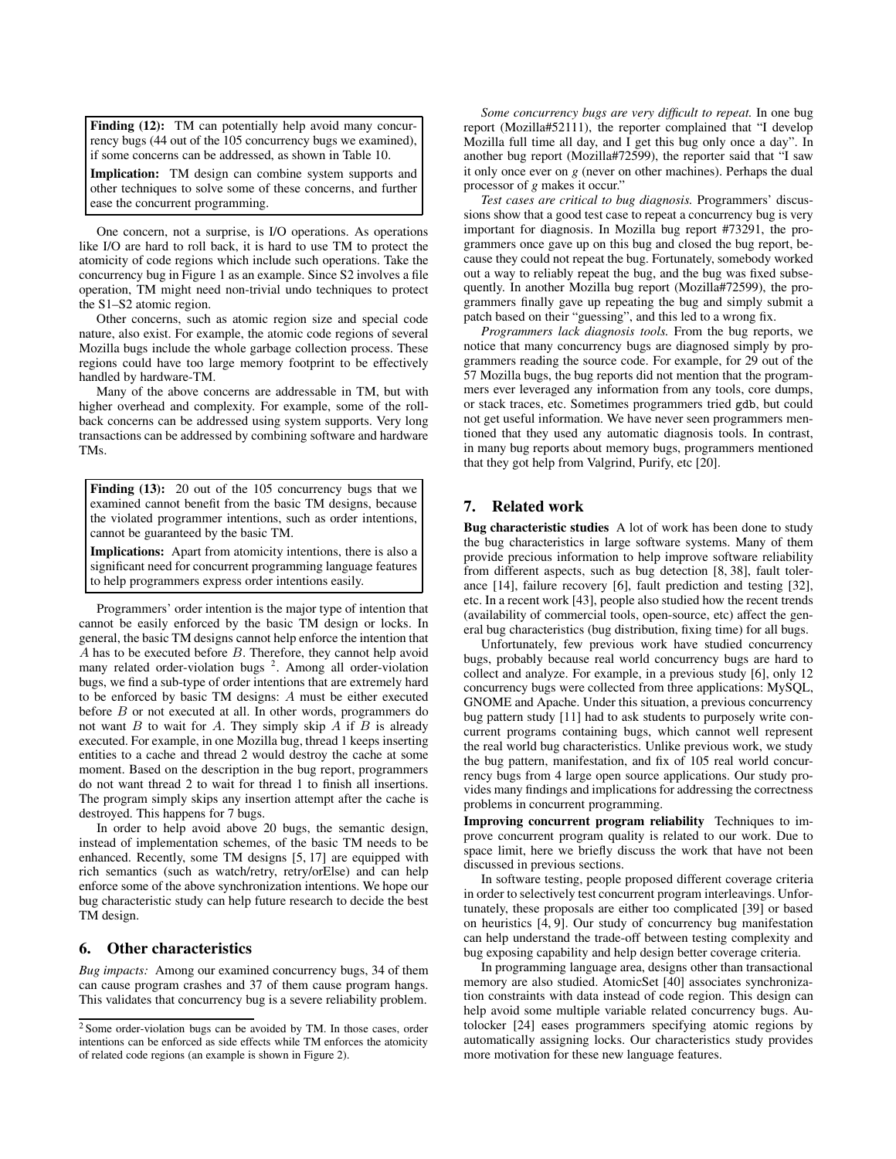Finding (12): TM can potentially help avoid many concurrency bugs (44 out of the 105 concurrency bugs we examined), if some concerns can be addressed, as shown in Table 10.

**Implication:** TM design can combine system supports and other techniques to solve some of these concerns, and further ease the concurrent programming.

One concern, not a surprise, is I/O operations. As operations like I/O are hard to roll back, it is hard to use TM to protect the atomicity of code regions which include such operations. Take the concurrency bug in Figure 1 as an example. Since S2 involves a file operation, TM might need non-trivial undo techniques to protect the S1–S2 atomic region.

Other concerns, such as atomic region size and special code nature, also exist. For example, the atomic code regions of several Mozilla bugs include the whole garbage collection process. These regions could have too large memory footprint to be effectively handled by hardware-TM.

Many of the above concerns are addressable in TM, but with higher overhead and complexity. For example, some of the rollback concerns can be addressed using system supports. Very long transactions can be addressed by combining software and hardware TMs.

**Finding (13):** 20 out of the 105 concurrency bugs that we examined cannot benefit from the basic TM designs, because the violated programmer intentions, such as order intentions, cannot be guaranteed by the basic TM.

**Implications:** Apart from atomicity intentions, there is also a significant need for concurrent programming language features to help programmers express order intentions easily.

Programmers' order intention is the major type of intention that cannot be easily enforced by the basic TM design or locks. In general, the basic TM designs cannot help enforce the intention that A has to be executed before B. Therefore, they cannot help avoid many related order-violation bugs<sup>2</sup>. Among all order-violation bugs, we find a sub-type of order intentions that are extremely hard to be enforced by basic TM designs: A must be either executed before B or not executed at all. In other words, programmers do not want  $B$  to wait for  $A$ . They simply skip  $A$  if  $B$  is already executed. For example, in one Mozilla bug, thread 1 keeps inserting entities to a cache and thread 2 would destroy the cache at some moment. Based on the description in the bug report, programmers do not want thread 2 to wait for thread 1 to finish all insertions. The program simply skips any insertion attempt after the cache is destroyed. This happens for 7 bugs.

In order to help avoid above 20 bugs, the semantic design, instead of implementation schemes, of the basic TM needs to be enhanced. Recently, some TM designs [5, 17] are equipped with rich semantics (such as watch/retry, retry/orElse) and can help enforce some of the above synchronization intentions. We hope our bug characteristic study can help future research to decide the best TM design.

## **6. Other characteristics**

*Bug impacts:* Among our examined concurrency bugs, 34 of them can cause program crashes and 37 of them cause program hangs. This validates that concurrency bug is a severe reliability problem.

*Some concurrency bugs are very difficult to repeat.* In one bug report (Mozilla#52111), the reporter complained that "I develop Mozilla full time all day, and I get this bug only once a day". In another bug report (Mozilla#72599), the reporter said that "I saw it only once ever on *g* (never on other machines). Perhaps the dual processor of *g* makes it occur."

*Test cases are critical to bug diagnosis.* Programmers' discussions show that a good test case to repeat a concurrency bug is very important for diagnosis. In Mozilla bug report #73291, the programmers once gave up on this bug and closed the bug report, because they could not repeat the bug. Fortunately, somebody worked out a way to reliably repeat the bug, and the bug was fixed subsequently. In another Mozilla bug report (Mozilla#72599), the programmers finally gave up repeating the bug and simply submit a patch based on their "guessing", and this led to a wrong fix.

*Programmers lack diagnosis tools.* From the bug reports, we notice that many concurrency bugs are diagnosed simply by programmers reading the source code. For example, for 29 out of the 57 Mozilla bugs, the bug reports did not mention that the programmers ever leveraged any information from any tools, core dumps, or stack traces, etc. Sometimes programmers tried gdb, but could not get useful information. We have never seen programmers mentioned that they used any automatic diagnosis tools. In contrast, in many bug reports about memory bugs, programmers mentioned that they got help from Valgrind, Purify, etc [20].

# **7. Related work**

**Bug characteristic studies** A lot of work has been done to study the bug characteristics in large software systems. Many of them provide precious information to help improve software reliability from different aspects, such as bug detection [8, 38], fault tolerance [14], failure recovery [6], fault prediction and testing [32], etc. In a recent work [43], people also studied how the recent trends (availability of commercial tools, open-source, etc) affect the general bug characteristics (bug distribution, fixing time) for all bugs.

Unfortunately, few previous work have studied concurrency bugs, probably because real world concurrency bugs are hard to collect and analyze. For example, in a previous study [6], only 12 concurrency bugs were collected from three applications: MySQL, GNOME and Apache. Under this situation, a previous concurrency bug pattern study [11] had to ask students to purposely write concurrent programs containing bugs, which cannot well represent the real world bug characteristics. Unlike previous work, we study the bug pattern, manifestation, and fix of 105 real world concurrency bugs from 4 large open source applications. Our study provides many findings and implications for addressing the correctness problems in concurrent programming.

**Improving concurrent program reliability** Techniques to improve concurrent program quality is related to our work. Due to space limit, here we briefly discuss the work that have not been discussed in previous sections.

In software testing, people proposed different coverage criteria in order to selectively test concurrent program interleavings. Unfortunately, these proposals are either too complicated [39] or based on heuristics [4, 9]. Our study of concurrency bug manifestation can help understand the trade-off between testing complexity and bug exposing capability and help design better coverage criteria.

In programming language area, designs other than transactional memory are also studied. AtomicSet [40] associates synchronization constraints with data instead of code region. This design can help avoid some multiple variable related concurrency bugs. Autolocker [24] eases programmers specifying atomic regions by automatically assigning locks. Our characteristics study provides more motivation for these new language features.

<sup>2</sup> Some order-violation bugs can be avoided by TM. In those cases, order intentions can be enforced as side effects while TM enforces the atomicity of related code regions (an example is shown in Figure 2).